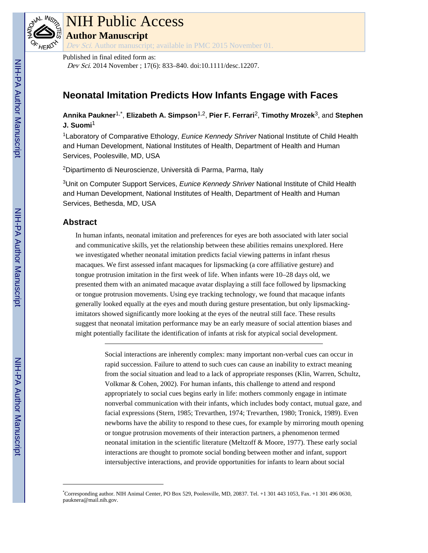

# NIH Public Access **Author Manuscript**

Dev Sci. Author manuscript; available in PMC 2015 November 01.

Published in final edited form as:

Dev Sci. 2014 November ; 17(6): 833–840. doi:10.1111/desc.12207.

# **Neonatal Imitation Predicts How Infants Engage with Faces**

**Annika Paukner**1,\* , **Elizabeth A. Simpson**1,2, **Pier F. Ferrari**2, **Timothy Mrozek**3, and **Stephen J. Suomi**<sup>1</sup>

<sup>1</sup>Laboratory of Comparative Ethology, Eunice Kennedy Shriver National Institute of Child Health and Human Development, National Institutes of Health, Department of Health and Human Services, Poolesville, MD, USA

<sup>2</sup>Dipartimento di Neuroscienze, Università di Parma, Parma, Italy

<sup>3</sup>Unit on Computer Support Services, Eunice Kennedy Shriver National Institute of Child Health and Human Development, National Institutes of Health, Department of Health and Human Services, Bethesda, MD, USA

# **Abstract**

In human infants, neonatal imitation and preferences for eyes are both associated with later social and communicative skills, yet the relationship between these abilities remains unexplored. Here we investigated whether neonatal imitation predicts facial viewing patterns in infant rhesus macaques. We first assessed infant macaques for lipsmacking (a core affiliative gesture) and tongue protrusion imitation in the first week of life. When infants were 10–28 days old, we presented them with an animated macaque avatar displaying a still face followed by lipsmacking or tongue protrusion movements. Using eye tracking technology, we found that macaque infants generally looked equally at the eyes and mouth during gesture presentation, but only lipsmackingimitators showed significantly more looking at the eyes of the neutral still face. These results suggest that neonatal imitation performance may be an early measure of social attention biases and might potentially facilitate the identification of infants at risk for atypical social development.

> Social interactions are inherently complex: many important non-verbal cues can occur in rapid succession. Failure to attend to such cues can cause an inability to extract meaning from the social situation and lead to a lack of appropriate responses (Klin, Warren, Schultz, Volkmar & Cohen, 2002). For human infants, this challenge to attend and respond appropriately to social cues begins early in life: mothers commonly engage in intimate nonverbal communication with their infants, which includes body contact, mutual gaze, and facial expressions (Stern, 1985; Trevarthen, 1974; Trevarthen, 1980; Tronick, 1989). Even newborns have the ability to respond to these cues, for example by mirroring mouth opening or tongue protrusion movements of their interaction partners, a phenomenon termed neonatal imitation in the scientific literature (Meltzoff & Moore, 1977). These early social interactions are thought to promote social bonding between mother and infant, support intersubjective interactions, and provide opportunities for infants to learn about social

<sup>\*</sup>Corresponding author. NIH Animal Center, PO Box 529, Poolesville, MD, 20837. Tel. +1 301 443 1053, Fax. +1 301 496 0630, pauknera@mail.nih.gov.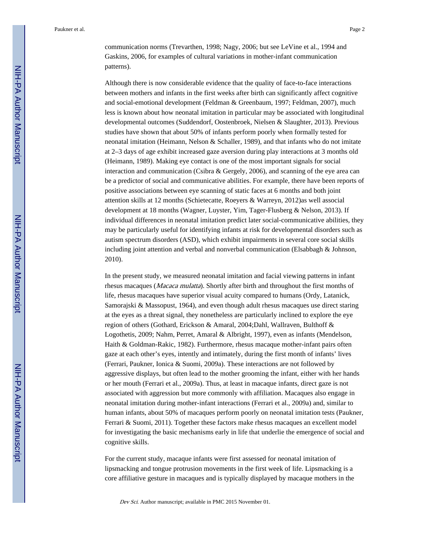communication norms (Trevarthen, 1998; Nagy, 2006; but see LeVine et al., 1994 and Gaskins, 2006, for examples of cultural variations in mother-infant communication patterns).

Although there is now considerable evidence that the quality of face-to-face interactions between mothers and infants in the first weeks after birth can significantly affect cognitive and social-emotional development (Feldman & Greenbaum, 1997; Feldman, 2007), much less is known about how neonatal imitation in particular may be associated with longitudinal developmental outcomes (Suddendorf, Oostenbroek, Nielsen & Slaughter, 2013). Previous studies have shown that about 50% of infants perform poorly when formally tested for neonatal imitation (Heimann, Nelson & Schaller, 1989), and that infants who do not imitate at 2–3 days of age exhibit increased gaze aversion during play interactions at 3 months old (Heimann, 1989). Making eye contact is one of the most important signals for social interaction and communication (Csibra & Gergely, 2006), and scanning of the eye area can be a predictor of social and communicative abilities. For example, there have been reports of positive associations between eye scanning of static faces at 6 months and both joint attention skills at 12 months (Schietecatte, Roeyers & Warreyn, 2012)as well associal development at 18 months (Wagner, Luyster, Yim, Tager-Flusberg & Nelson, 2013). If individual differences in neonatal imitation predict later social-communicative abilities, they may be particularly useful for identifying infants at risk for developmental disorders such as autism spectrum disorders (ASD), which exhibit impairments in several core social skills including joint attention and verbal and nonverbal communication (Elsabbagh & Johnson, 2010).

In the present study, we measured neonatal imitation and facial viewing patterns in infant rhesus macaques (Macaca mulatta). Shortly after birth and throughout the first months of life, rhesus macaques have superior visual acuity compared to humans (Ordy, Latanick, Samorajski & Massopust, 1964), and even though adult rhesus macaques use direct staring at the eyes as a threat signal, they nonetheless are particularly inclined to explore the eye region of others (Gothard, Erickson & Amaral, 2004;Dahl, Wallraven, Bulthoff & Logothetis, 2009; Nahm, Perret, Amaral & Albright, 1997), even as infants (Mendelson, Haith & Goldman-Rakic, 1982). Furthermore, rhesus macaque mother-infant pairs often gaze at each other's eyes, intently and intimately, during the first month of infants' lives (Ferrari, Paukner, Ionica & Suomi, 2009a). These interactions are not followed by aggressive displays, but often lead to the mother grooming the infant, either with her hands or her mouth (Ferrari et al., 2009a). Thus, at least in macaque infants, direct gaze is not associated with aggression but more commonly with affiliation. Macaques also engage in neonatal imitation during mother-infant interactions (Ferrari et al., 2009a) and, similar to human infants, about 50% of macaques perform poorly on neonatal imitation tests (Paukner, Ferrari & Suomi, 2011). Together these factors make rhesus macaques an excellent model for investigating the basic mechanisms early in life that underlie the emergence of social and cognitive skills.

For the current study, macaque infants were first assessed for neonatal imitation of lipsmacking and tongue protrusion movements in the first week of life. Lipsmacking is a core affiliative gesture in macaques and is typically displayed by macaque mothers in the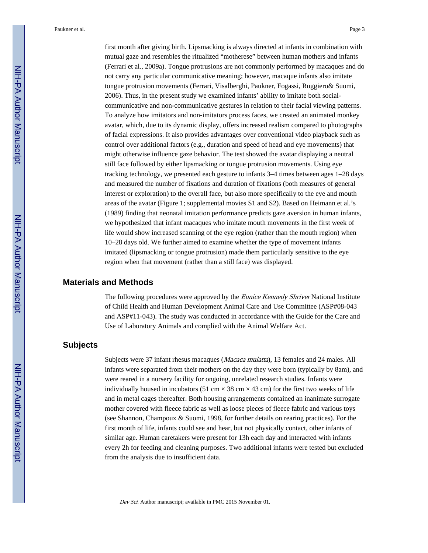first month after giving birth. Lipsmacking is always directed at infants in combination with mutual gaze and resembles the ritualized "motherese" between human mothers and infants (Ferrari et al., 2009a). Tongue protrusions are not commonly performed by macaques and do not carry any particular communicative meaning; however, macaque infants also imitate tongue protrusion movements (Ferrari, Visalberghi, Paukner, Fogassi, Ruggiero& Suomi, 2006). Thus, in the present study we examined infants' ability to imitate both socialcommunicative and non-communicative gestures in relation to their facial viewing patterns. To analyze how imitators and non-imitators process faces, we created an animated monkey avatar, which, due to its dynamic display, offers increased realism compared to photographs of facial expressions. It also provides advantages over conventional video playback such as control over additional factors (e.g., duration and speed of head and eye movements) that might otherwise influence gaze behavior. The test showed the avatar displaying a neutral still face followed by either lipsmacking or tongue protrusion movements. Using eye tracking technology, we presented each gesture to infants 3–4 times between ages 1–28 days and measured the number of fixations and duration of fixations (both measures of general interest or exploration) to the overall face, but also more specifically to the eye and mouth areas of the avatar (Figure 1; supplemental movies S1 and S2). Based on Heimann et al.'s (1989) finding that neonatal imitation performance predicts gaze aversion in human infants, we hypothesized that infant macaques who imitate mouth movements in the first week of life would show increased scanning of the eye region (rather than the mouth region) when 10–28 days old. We further aimed to examine whether the type of movement infants imitated (lipsmacking or tongue protrusion) made them particularly sensitive to the eye region when that movement (rather than a still face) was displayed.

### **Materials and Methods**

The following procedures were approved by the *Eunice Kennedy Shriver* National Institute of Child Health and Human Development Animal Care and Use Committee (ASP#08-043 and ASP#11-043). The study was conducted in accordance with the Guide for the Care and Use of Laboratory Animals and complied with the Animal Welfare Act.

# **Subjects**

Subjects were 37 infant rhesus macaques (Macaca mulatta), 13 females and 24 males. All infants were separated from their mothers on the day they were born (typically by 8am), and were reared in a nursery facility for ongoing, unrelated research studies. Infants were individually housed in incubators (51 cm  $\times$  38 cm  $\times$  43 cm) for the first two weeks of life and in metal cages thereafter. Both housing arrangements contained an inanimate surrogate mother covered with fleece fabric as well as loose pieces of fleece fabric and various toys (see Shannon, Champoux & Suomi, 1998, for further details on rearing practices). For the first month of life, infants could see and hear, but not physically contact, other infants of similar age. Human caretakers were present for 13h each day and interacted with infants every 2h for feeding and cleaning purposes. Two additional infants were tested but excluded from the analysis due to insufficient data.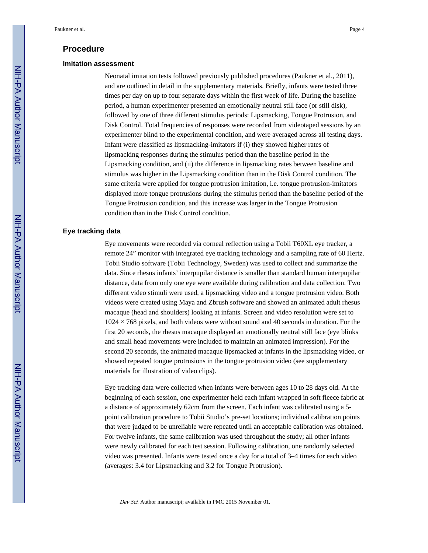### **Procedure**

#### **Imitation assessment**

Neonatal imitation tests followed previously published procedures (Paukner et al., 2011), and are outlined in detail in the supplementary materials. Briefly, infants were tested three times per day on up to four separate days within the first week of life. During the baseline period, a human experimenter presented an emotionally neutral still face (or still disk), followed by one of three different stimulus periods: Lipsmacking, Tongue Protrusion, and Disk Control. Total frequencies of responses were recorded from videotaped sessions by an experimenter blind to the experimental condition, and were averaged across all testing days. Infant were classified as lipsmacking-imitators if (i) they showed higher rates of lipsmacking responses during the stimulus period than the baseline period in the Lipsmacking condition, and (ii) the difference in lipsmacking rates between baseline and stimulus was higher in the Lipsmacking condition than in the Disk Control condition. The same criteria were applied for tongue protrusion imitation, i.e. tongue protrusion-imitators displayed more tongue protrusions during the stimulus period than the baseline period of the Tongue Protrusion condition, and this increase was larger in the Tongue Protrusion condition than in the Disk Control condition.

#### **Eye tracking data**

Eye movements were recorded via corneal reflection using a Tobii T60XL eye tracker, a remote 24" monitor with integrated eye tracking technology and a sampling rate of 60 Hertz. Tobii Studio software (Tobii Technology, Sweden) was used to collect and summarize the data. Since rhesus infants' interpupilar distance is smaller than standard human interpupilar distance, data from only one eye were available during calibration and data collection. Two different video stimuli were used, a lipsmacking video and a tongue protrusion video. Both videos were created using Maya and Zbrush software and showed an animated adult rhesus macaque (head and shoulders) looking at infants. Screen and video resolution were set to  $1024 \times 768$  pixels, and both videos were without sound and 40 seconds in duration. For the first 20 seconds, the rhesus macaque displayed an emotionally neutral still face (eye blinks and small head movements were included to maintain an animated impression). For the second 20 seconds, the animated macaque lipsmacked at infants in the lipsmacking video, or showed repeated tongue protrusions in the tongue protrusion video (see supplementary materials for illustration of video clips).

Eye tracking data were collected when infants were between ages 10 to 28 days old. At the beginning of each session, one experimenter held each infant wrapped in soft fleece fabric at a distance of approximately 62cm from the screen. Each infant was calibrated using a 5 point calibration procedure to Tobii Studio's pre-set locations; individual calibration points that were judged to be unreliable were repeated until an acceptable calibration was obtained. For twelve infants, the same calibration was used throughout the study; all other infants were newly calibrated for each test session. Following calibration, one randomly selected video was presented. Infants were tested once a day for a total of 3–4 times for each video (averages: 3.4 for Lipsmacking and 3.2 for Tongue Protrusion).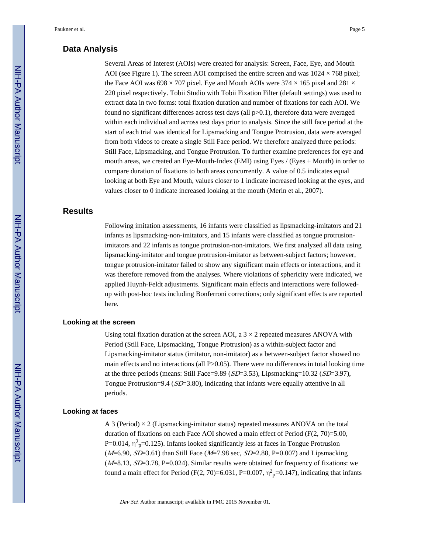## **Data Analysis**

Several Areas of Interest (AOIs) were created for analysis: Screen, Face, Eye, and Mouth AOI (see Figure 1). The screen AOI comprised the entire screen and was  $1024 \times 768$  pixel; the Face AOI was 698  $\times$  707 pixel. Eye and Mouth AOIs were 374  $\times$  165 pixel and 281  $\times$ 220 pixel respectively. Tobii Studio with Tobii Fixation Filter (default settings) was used to extract data in two forms: total fixation duration and number of fixations for each AOI. We found no significant differences across test days (all  $p>0.1$ ), therefore data were averaged within each individual and across test days prior to analysis. Since the still face period at the start of each trial was identical for Lipsmacking and Tongue Protrusion, data were averaged from both videos to create a single Still Face period. We therefore analyzed three periods: Still Face, Lipsmacking, and Tongue Protrusion. To further examine preferences for eye and mouth areas, we created an Eye-Mouth-Index (EMI) using Eyes / (Eyes + Mouth) in order to compare duration of fixations to both areas concurrently. A value of 0.5 indicates equal looking at both Eye and Mouth, values closer to 1 indicate increased looking at the eyes, and values closer to 0 indicate increased looking at the mouth (Merin et al., 2007).

# **Results**

Following imitation assessments, 16 infants were classified as lipsmacking-imitators and 21 infants as lipsmacking-non-imitators, and 15 infants were classified as tongue protrusionimitators and 22 infants as tongue protrusion-non-imitators. We first analyzed all data using lipsmacking-imitator and tongue protrusion-imitator as between-subject factors; however, tongue protrusion-imitator failed to show any significant main effects or interactions, and it was therefore removed from the analyses. Where violations of sphericity were indicated, we applied Huynh-Feldt adjustments. Significant main effects and interactions were followedup with post-hoc tests including Bonferroni corrections; only significant effects are reported here.

#### **Looking at the screen**

Using total fixation duration at the screen AOI, a  $3 \times 2$  repeated measures ANOVA with Period (Still Face, Lipsmacking, Tongue Protrusion) as a within-subject factor and Lipsmacking-imitator status (imitator, non-imitator) as a between-subject factor showed no main effects and no interactions (all P>0.05). There were no differences in total looking time at the three periods (means: Still Face=9.89 ( $SD=3.53$ ), Lipsmacking=10.32 ( $SD=3.97$ ), Tongue Protrusion=9.4 (SD=3.80), indicating that infants were equally attentive in all periods.

#### **Looking at faces**

A 3 (Period)  $\times$  2 (Lipsmacking-imitator status) repeated measures ANOVA on the total duration of fixations on each Face AOI showed a main effect of Period (F(2, 70)=5.00, P=0.014,  $\eta^2$ <sub>p</sub>=0.125). Infants looked significantly less at faces in Tongue Protrusion  $(M=6.90, SD=3.61)$  than Still Face  $(M=7.98 \text{ sec}, SD=2.88, P=0.007)$  and Lipsmacking  $(M=8.13, SD=3.78, P=0.024)$ . Similar results were obtained for frequency of fixations: we found a main effect for Period (F(2, 70)=6.031, P=0.007,  $\eta^2$ <sub>p</sub>=0.147), indicating that infants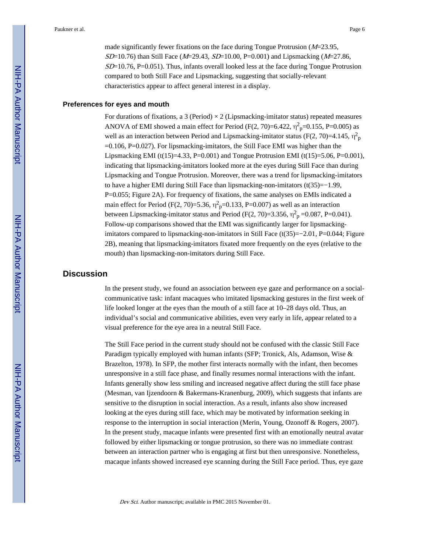made significantly fewer fixations on the face during Tongue Protrusion  $(M=23.95,$  $SD=10.76$ ) than Still Face ( $M=29.43$ ,  $SD=10.00$ , P=0.001) and Lipsmacking ( $M=27.86$ ,  $SD=10.76$ , P $=0.051$ ). Thus, infants overall looked less at the face during Tongue Protrusion compared to both Still Face and Lipsmacking, suggesting that socially-relevant characteristics appear to affect general interest in a display.

#### **Preferences for eyes and mouth**

For durations of fixations, a 3 (Period)  $\times$  2 (Lipsmacking-imitator status) repeated measures ANOVA of EMI showed a main effect for Period (F(2, 70)=6.422,  $\eta_{\text{p}}^2$ =0.155, P=0.005) as well as an interaction between Period and Lipsmacking-imitator status (F(2, 70)=4.145,  $\eta_{\text{p}}^2$  $=0.106$ , P $=0.027$ ). For lipsmacking-imitators, the Still Face EMI was higher than the Lipsmacking EMI (t(15)=4.33, P=0.001) and Tongue Protrusion EMI (t(15)=5.06, P=0.001), indicating that lipsmacking-imitators looked more at the eyes during Still Face than during Lipsmacking and Tongue Protrusion. Moreover, there was a trend for lipsmacking-imitators to have a higher EMI during Still Face than lipsmacking-non-imitators (t(35)=−1.99, P=0.055; Figure 2A). For frequency of fixations, the same analyses on EMIs indicated a main effect for Period (F(2, 70)=5.36,  $\eta^2$ <sub>p</sub>=0.133, P=0.007) as well as an interaction between Lipsmacking-imitator status and Period (F(2, 70)=3.356,  $\eta^2$ <sub>p</sub> =0.087, P=0.041). Follow-up comparisons showed that the EMI was significantly larger for lipsmackingimitators compared to lipsmacking-non-imitators in Still Face (t(35)=−2.01, P=0.044; Figure 2B), meaning that lipsmacking-imitators fixated more frequently on the eyes (relative to the mouth) than lipsmacking-non-imitators during Still Face.

## **Discussion**

In the present study, we found an association between eye gaze and performance on a socialcommunicative task: infant macaques who imitated lipsmacking gestures in the first week of life looked longer at the eyes than the mouth of a still face at 10–28 days old. Thus, an individual's social and communicative abilities, even very early in life, appear related to a visual preference for the eye area in a neutral Still Face.

The Still Face period in the current study should not be confused with the classic Still Face Paradigm typically employed with human infants (SFP; Tronick, Als, Adamson, Wise & Brazelton, 1978). In SFP, the mother first interacts normally with the infant, then becomes unresponsive in a still face phase, and finally resumes normal interactions with the infant. Infants generally show less smiling and increased negative affect during the still face phase (Mesman, van Ijzendoorn & Bakermans-Kranenburg, 2009), which suggests that infants are sensitive to the disruption in social interaction. As a result, infants also show increased looking at the eyes during still face, which may be motivated by information seeking in response to the interruption in social interaction (Merin, Young, Ozonoff & Rogers, 2007). In the present study, macaque infants were presented first with an emotionally neutral avatar followed by either lipsmacking or tongue protrusion, so there was no immediate contrast between an interaction partner who is engaging at first but then unresponsive. Nonetheless, macaque infants showed increased eye scanning during the Still Face period. Thus, eye gaze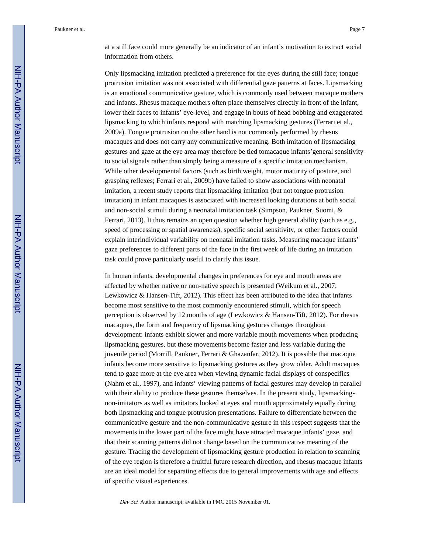at a still face could more generally be an indicator of an infant's motivation to extract social information from others.

Only lipsmacking imitation predicted a preference for the eyes during the still face; tongue protrusion imitation was not associated with differential gaze patterns at faces. Lipsmacking is an emotional communicative gesture, which is commonly used between macaque mothers and infants. Rhesus macaque mothers often place themselves directly in front of the infant, lower their faces to infants' eye-level, and engage in bouts of head bobbing and exaggerated lipsmacking to which infants respond with matching lipsmacking gestures (Ferrari et al., 2009a). Tongue protrusion on the other hand is not commonly performed by rhesus macaques and does not carry any communicative meaning. Both imitation of lipsmacking gestures and gaze at the eye area may therefore be tied tomacaque infants'general sensitivity to social signals rather than simply being a measure of a specific imitation mechanism. While other developmental factors (such as birth weight, motor maturity of posture, and grasping reflexes; Ferrari et al., 2009b) have failed to show associations with neonatal imitation, a recent study reports that lipsmacking imitation (but not tongue protrusion imitation) in infant macaques is associated with increased looking durations at both social and non-social stimuli during a neonatal imitation task (Simpson, Paukner, Suomi, & Ferrari, 2013). It thus remains an open question whether high general ability (such as e.g., speed of processing or spatial awareness), specific social sensitivity, or other factors could explain interindividual variability on neonatal imitation tasks. Measuring macaque infants' gaze preferences to different parts of the face in the first week of life during an imitation task could prove particularly useful to clarify this issue.

In human infants, developmental changes in preferences for eye and mouth areas are affected by whether native or non-native speech is presented (Weikum et al., 2007; Lewkowicz & Hansen-Tift, 2012). This effect has been attributed to the idea that infants become most sensitive to the most commonly encountered stimuli, which for speech perception is observed by 12 months of age (Lewkowicz & Hansen-Tift, 2012). For rhesus macaques, the form and frequency of lipsmacking gestures changes throughout development: infants exhibit slower and more variable mouth movements when producing lipsmacking gestures, but these movements become faster and less variable during the juvenile period (Morrill, Paukner, Ferrari & Ghazanfar, 2012). It is possible that macaque infants become more sensitive to lipsmacking gestures as they grow older. Adult macaques tend to gaze more at the eye area when viewing dynamic facial displays of conspecifics (Nahm et al., 1997), and infants' viewing patterns of facial gestures may develop in parallel with their ability to produce these gestures themselves. In the present study, lipsmackingnon-imitators as well as imitators looked at eyes and mouth approximately equally during both lipsmacking and tongue protrusion presentations. Failure to differentiate between the communicative gesture and the non-communicative gesture in this respect suggests that the movements in the lower part of the face might have attracted macaque infants' gaze, and that their scanning patterns did not change based on the communicative meaning of the gesture. Tracing the development of lipsmacking gesture production in relation to scanning of the eye region is therefore a fruitful future research direction, and rhesus macaque infants are an ideal model for separating effects due to general improvements with age and effects of specific visual experiences.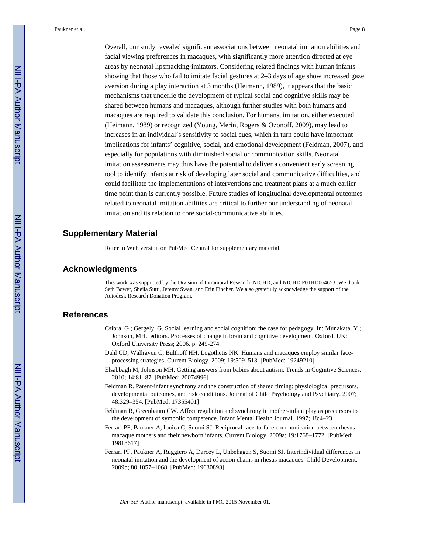Overall, our study revealed significant associations between neonatal imitation abilities and facial viewing preferences in macaques, with significantly more attention directed at eye areas by neonatal lipsmacking-imitators. Considering related findings with human infants showing that those who fail to imitate facial gestures at 2–3 days of age show increased gaze aversion during a play interaction at 3 months (Heimann, 1989), it appears that the basic mechanisms that underlie the development of typical social and cognitive skills may be shared between humans and macaques, although further studies with both humans and macaques are required to validate this conclusion. For humans, imitation, either executed (Heimann, 1989) or recognized (Young, Merin, Rogers & Ozonoff, 2009), may lead to increases in an individual's sensitivity to social cues, which in turn could have important implications for infants' cognitive, social, and emotional development (Feldman, 2007), and especially for populations with diminished social or communication skills. Neonatal imitation assessments may thus have the potential to deliver a convenient early screening tool to identify infants at risk of developing later social and communicative difficulties, and could facilitate the implementations of interventions and treatment plans at a much earlier time point than is currently possible. Future studies of longitudinal developmental outcomes related to neonatal imitation abilities are critical to further our understanding of neonatal imitation and its relation to core social-communicative abilities.

## **Supplementary Material**

Refer to Web version on PubMed Central for supplementary material.

## **Acknowledgments**

This work was supported by the Division of Intramural Research, NICHD, and NICHD P01HD064653. We thank Seth Bower, Sheila Sutti, Jeremy Swan, and Erin Fincher. We also gratefully acknowledge the support of the Autodesk Research Donation Program.

## **References**

- Csibra, G.; Gergely, G. Social learning and social cognition: the case for pedagogy. In: Munakata, Y.; Johnson, MH., editors. Processes of change in brain and cognitive development. Oxford, UK: Oxford University Press; 2006. p. 249-274.
- Dahl CD, Wallraven C, Bulthoff HH, Logothetis NK. Humans and macaques employ similar faceprocessing strategies. Current Biology. 2009; 19:509–513. [PubMed: 19249210]
- Elsabbagh M, Johnson MH. Getting answers from babies about autism. Trends in Cognitive Sciences. 2010; 14:81–87. [PubMed: 20074996]
- Feldman R. Parent-infant synchrony and the construction of shared timing: physiological precursors, developmental outcomes, and risk conditions. Journal of Child Psychology and Psychiatry. 2007; 48:329–354. [PubMed: 17355401]
- Feldman R, Greenbaum CW. Affect regulation and synchrony in mother-infant play as precursors to the development of symbolic competence. Infant Mental Health Journal. 1997; 18:4–23.
- Ferrari PF, Paukner A, Ionica C, Suomi SJ. Reciprocal face-to-face communication between rhesus macaque mothers and their newborn infants. Current Biology. 2009a; 19:1768–1772. [PubMed: 19818617]
- Ferrari PF, Paukner A, Ruggiero A, Darcey L, Unbehagen S, Suomi SJ. Interindividual differences in neonatal imitation and the development of action chains in rhesus macaques. Child Development. 2009b; 80:1057–1068. [PubMed: 19630893]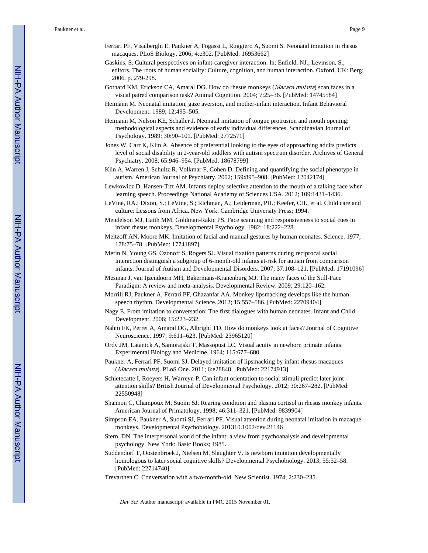- Ferrari PF, Visalberghi E, Paukner A, Fogassi L, Ruggiero A, Suomi S. Neonatal imitation in rhesus macaques. PLoS Biology. 2006; 4:e302. [PubMed: 16953662]
- Gaskins, S. Cultural perspectives on infant-caregiver interaction. In: Enfield, NJ.; Levinson, S., editors. The roots of human sociality: Culture, cognition, and human interaction. Oxford, UK: Berg; 2006. p. 279-298.
- Gothard KM, Erickson CA, Amaral DG. How do rhesus monkeys (Macaca mulatta) scan faces in a visual paired comparison task? Animal Cognition. 2004; 7:25–36. [PubMed: 14745584]
- Heimann M. Neonatal imitation, gaze aversion, and mother-infant interaction. Infant Behavioral Development. 1989; 12:495–505.
- Heimann M, Nelson KE, Schaller J. Neonatal imitation of tongue protrusion and mouth opening: methodological aspects and evidence of early individual differences. Scandinavian Journal of Psychology. 1989; 30:90–101. [PubMed: 2772571]
- Jones W, Carr K, Klin A. Absence of preferential looking to the eyes of approaching adults predicts level of social disability in 2-year-old toddlers with autism spectrum disorder. Archives of General Psychiatry. 2008; 65:946–954. [PubMed: 18678799]
- Klin A, Warren J, Schultz R, Volkmar F, Cohen D. Defining and quantifying the social phenotype in autism. American Journal of Psychiatry. 2002; 159:895–908. [PubMed: 12042174]
- Lewkowicz D, Hansen-Tift AM. Infants deploy selective attention to the mouth of a talking face when learning speech. Proceedings National Academy of Sciences USA. 2012; 109:1431–1436.
- LeVine, RA.; Dixon, S.; LeVine, S.; Richman, A.; Leiderman, PH.; Keefer, CH., et al. Child care and culture: Lessons from Africa. New York: Cambridge University Press; 1994.
- Mendelson MJ, Haith MM, Goldman-Rakic PS. Face scanning and responsiveness to social cues in infant rhesus monkeys. Developmental Psychology. 1982; 18:222–228.
- Meltzoff AN, Moore MK. Imitation of facial and manual gestures by human neonates. Science. 1977; 178:75–78. [PubMed: 17741897]
- Merin N, Young GS, Ozonoff S, Rogers SJ. Visual fixation patterns during reciprocal social interaction distinguish a subgroup of 6-month-old infants at-risk for autism from comparison infants. Journal of Autism and Developmental Disorders. 2007; 37:108–121. [PubMed: 17191096]
- Mesman J, van Ijzendoorn MH, Bakermans-Kranenburg MJ. The many faces of the Still-Face Paradigm: A review and meta-analysis. Developmental Review. 2009; 29:120–162.
- Morrill RJ, Paukner A, Ferrari PF, Ghazanfar AA. Monkey lipsmacking develops like the human speech rhythm. Developmental Science. 2012; 15:557–586. [PubMed: 22709404]
- Nagy E. From imitation to conversation: The first dialogues with human neonates. Infant and Child Development. 2006; 15:223–232.
- Nahm FK, Perret A, Amaral DG, Albright TD. How do monkeys look at faces? Journal of Cognitive Neuroscience. 1997; 9:611–623. [PubMed: 23965120]
- Ordy JM, Latanick A, Samorajski T, Massopust LC. Visual acuity in newborn primate infants. Experimental Biology and Medicine. 1964; 115:677–680.
- Paukner A, Ferrari PF, Suomi SJ. Delayed imitation of lipsmacking by infant rhesus macaques (Macaca mulatta). PLoS One. 2011; 6:e28848. [PubMed: 22174913]
- Schietecatte I, Roeyers H, Warreyn P. Can infant orientation to social stimuli predict later joint attention skills? British Journal of Developmental Psychology. 2012; 30:267–282. [PubMed: 22550948]
- Shannon C, Champoux M, Suomi SJ. Rearing condition and plasma cortisol in rhesus monkey infants. American Journal of Primatology. 1998; 46:311–321. [PubMed: 9839904]
- Simpson EA, Paukner A, Suomi SJ, Ferrari PF. Visual attention during neonatal imitation in macaque monkeys. Developmental Psychobiology. 201310.1002/dev.21146
- Stern, DN. The interpersonal world of the infant: a view from psychoanalysis and developmental psychology. New York: Basic Books; 1985.
- Suddendorf T, Oostenbroek J, Nielsen M, Slaughter V. Is newborn imitation developmentally homologous to later social cognitive skills? Developmental Psychobiology. 2013; 55:52–58. [PubMed: 22714740]
- Trevarthen C. Conversation with a two-month-old. New Scientist. 1974; 2:230–235.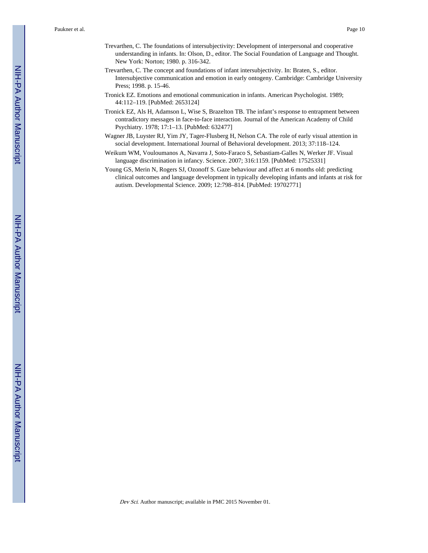- Trevarthen, C. The foundations of intersubjectivity: Development of interpersonal and cooperative understanding in infants. In: Olson, D., editor. The Social Foundation of Language and Thought. New York: Norton; 1980. p. 316-342.
- Trevarthen, C. The concept and foundations of infant intersubjectivity. In: Braten, S., editor. Intersubjective communication and emotion in early ontogeny. Cambridge: Cambridge University Press; 1998. p. 15-46.
- Tronick EZ. Emotions and emotional communication in infants. American Psychologist. 1989; 44:112–119. [PubMed: 2653124]
- Tronick EZ, Als H, Adamson L, Wise S, Brazelton TB. The infant's response to entrapment between contradictory messages in face-to-face interaction. Journal of the American Academy of Child Psychiatry. 1978; 17:1–13. [PubMed: 632477]
- Wagner JB, Luyster RJ, Yim JY, Tager-Flusberg H, Nelson CA. The role of early visual attention in social development. International Journal of Behavioral development. 2013; 37:118–124.
- Weikum WM, Vouloumanos A, Navarra J, Soto-Faraco S, Sebastiam-Galles N, Werker JF. Visual language discrimination in infancy. Science. 2007; 316:1159. [PubMed: 17525331]
- Young GS, Merin N, Rogers SJ, Ozonoff S. Gaze behaviour and affect at 6 months old: predicting clinical outcomes and language development in typically developing infants and infants at risk for autism. Developmental Science. 2009; 12:798–814. [PubMed: 19702771]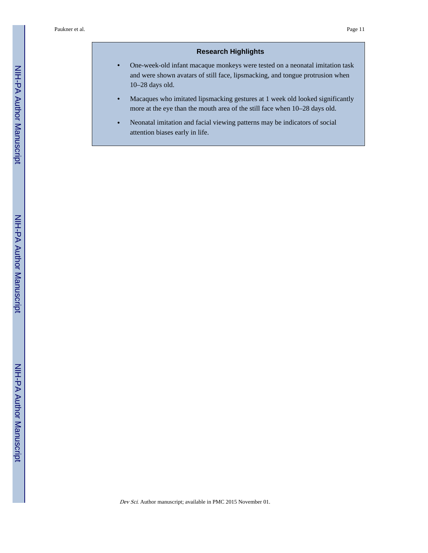## **Research Highlights**

- **•** One-week-old infant macaque monkeys were tested on a neonatal imitation task and were shown avatars of still face, lipsmacking, and tongue protrusion when 10–28 days old.
- **•** Macaques who imitated lipsmacking gestures at 1 week old looked significantly more at the eye than the mouth area of the still face when 10–28 days old.
- **•** Neonatal imitation and facial viewing patterns may be indicators of social attention biases early in life.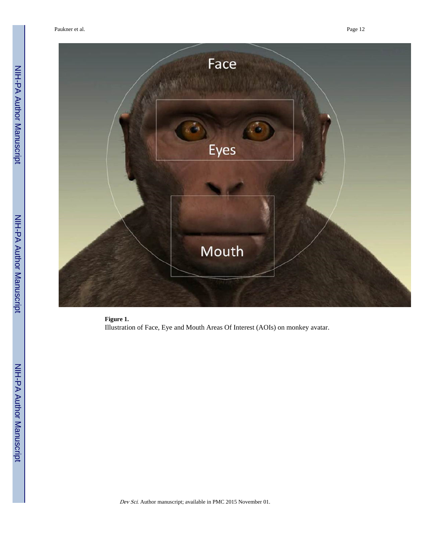